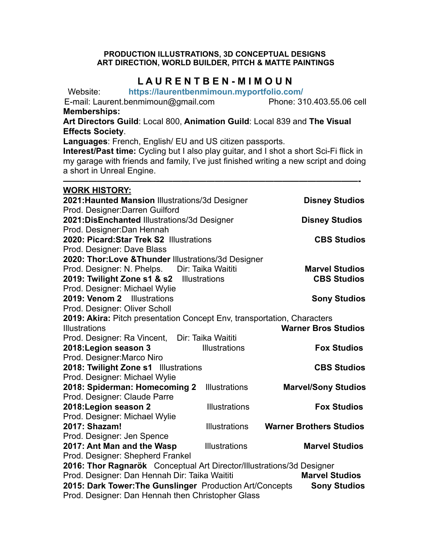## **PRODUCTION ILLUSTRATIONS, 3D CONCEPTUAL DESIGNS ART DIRECTION, WORLD BUILDER, PITCH & MATTE PAINTINGS**

## **L A U R E N T B E N - M I M O U N**

Website: **https://laurentbenmimoun.myportfolio.com/** 

E-mail: Laurent.benmimoun@gmail.com Phone: 310.403.55.06 cell **Memberships:** 

**Art Directors Guild**: Local 800, **Animation Guild**: Local 839 and **The Visual Effects Society**.

**Languages**: French, English/ EU and US citizen passports.

**Interest/Past time:** Cycling but I also play guitar, and I shot a short Sci-Fi flick in my garage with friends and family, I've just finished writing a new script and doing a short in Unreal Engine.

**———————————————————————————————————-** 

## **WORK HISTORY:**

| 2021: Haunted Mansion Illustrations/3d Designer                                 |                      | <b>Disney Studios</b>          |  |  |
|---------------------------------------------------------------------------------|----------------------|--------------------------------|--|--|
| Prod. Designer: Darren Guilford                                                 |                      |                                |  |  |
| 2021:DisEnchanted Illustrations/3d Designer                                     |                      | <b>Disney Studios</b>          |  |  |
| Prod. Designer: Dan Hennah                                                      |                      |                                |  |  |
| 2020: Picard: Star Trek S2 Illustrations                                        |                      | <b>CBS Studios</b>             |  |  |
| Prod. Designer: Dave Blass                                                      |                      |                                |  |  |
| 2020: Thor: Love & Thunder Illustrations/3d Designer                            |                      |                                |  |  |
| Prod. Designer: N. Phelps. Dir: Taika Waititi                                   |                      | <b>Marvel Studios</b>          |  |  |
| 2019: Twilight Zone s1 & s2 Illustrations                                       |                      | <b>CBS Studios</b>             |  |  |
| Prod. Designer: Michael Wylie                                                   |                      |                                |  |  |
| 2019: Venom 2 Illustrations                                                     |                      | <b>Sony Studios</b>            |  |  |
| Prod. Designer: Oliver Scholl                                                   |                      |                                |  |  |
| 2019: Akira: Pitch presentation Concept Env, transportation, Characters         |                      |                                |  |  |
| <b>Illustrations</b>                                                            |                      | <b>Warner Bros Studios</b>     |  |  |
| Prod. Designer: Ra Vincent,                                                     | Dir: Taika Waititi   |                                |  |  |
| 2018: Legion season 3                                                           | Illustrations        | <b>Fox Studios</b>             |  |  |
| Prod. Designer: Marco Niro                                                      |                      |                                |  |  |
| 2018: Twilight Zone s1 Illustrations                                            |                      | <b>CBS Studios</b>             |  |  |
| Prod. Designer: Michael Wylie                                                   |                      |                                |  |  |
| 2018: Spiderman: Homecoming 2                                                   | <b>Illustrations</b> | <b>Marvel/Sony Studios</b>     |  |  |
| Prod. Designer: Claude Parre                                                    |                      |                                |  |  |
| 2018: Legion season 2                                                           | <b>Illustrations</b> | <b>Fox Studios</b>             |  |  |
| Prod. Designer: Michael Wylie                                                   |                      |                                |  |  |
| 2017: Shazam!                                                                   | <b>Illustrations</b> | <b>Warner Brothers Studios</b> |  |  |
| Prod. Designer: Jen Spence                                                      |                      |                                |  |  |
| 2017: Ant Man and the Wasp                                                      | <b>Illustrations</b> | <b>Marvel Studios</b>          |  |  |
| Prod. Designer: Shepherd Frankel                                                |                      |                                |  |  |
| 2016: Thor Ragnarök Conceptual Art Director/Illustrations/3d Designer           |                      |                                |  |  |
| Prod. Designer: Dan Hennah Dir: Taika Waititi<br><b>Marvel Studios</b>          |                      |                                |  |  |
| 2015: Dark Tower: The Gunslinger Production Art/Concepts<br><b>Sony Studios</b> |                      |                                |  |  |
| Prod. Designer: Dan Hennah then Christopher Glass                               |                      |                                |  |  |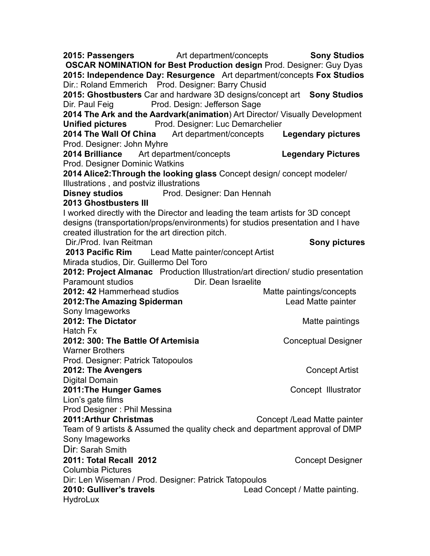**2015: Passengers** Art department/concepts **Sony Studios OSCAR NOMINATION for Best Production design** Prod. Designer: Guy Dyas **2015: Independence Day: Resurgence** Art department/concepts **Fox Studios** Dir.: Roland Emmerich Prod. Designer: Barry Chusid **2015: Ghostbusters** Car and hardware 3D designs/concept art **Sony Studios** Dir. Paul Feig Prod. Design: Jefferson Sage **2014 The Ark and the Aardvark(animation**) Art Director/ Visually Development **Unified pictures** Prod. Designer: Luc Demarchelier **2014 The Wall Of China** Art department/concepts **Legendary pictures**  Prod. Designer: John Myhre **2014 Brilliance** Art department/concepts **Legendary Pictures** Prod. Designer Dominic Watkins **2014 Alice2:Through the looking glass** Concept design/ concept modeler/ Illustrations , and postviz illustrations **Disney studios** Prod. Designer: Dan Hennah **2013 Ghostbusters III**  I worked directly with the Director and leading the team artists for 3D concept designs (transportation/props/environments) for studios presentation and I have created illustration for the art direction pitch. Dir./Prod. Ivan Reitman **Sony pictures Sony pictures 2013 Pacific Rim** Lead Matte painter/concept Artist Mirada studios, Dir. Guillermo Del Toro **2012: Project Almanac** Production Illustration/art direction/ studio presentation Paramount studios **Dir.** Dir. Dean Israelite **2012: 42 Hammerhead studios Matte paintings/concepts 2012: The Amazing Spiderman Lead Matte painter** Sony Imageworks **2012: The Dictator**  Matte paintings Hatch Fx **2012: 300: The Battle Of Artemisia Conceptual Designer** Warner Brothers Prod. Designer: Patrick Tatopoulos **2012: The Avengers** Concept Artist Digital Domain **2011: The Hunger Games Concept Illustrator** Lion's gate films Prod Designer : Phil Messina **2011:Arthur Christmas** Concept /Lead Matte painter Team of 9 artists & Assumed the quality check and department approval of DMP Sony Imageworks Dir: Sarah Smith **2011: Total Recall 2012 Concept Designer** Columbia Pictures Dir: Len Wiseman / Prod. Designer: Patrick Tatopoulos **2010: Gulliver's travels** Lead Concept / Matte painting. **HydroLux**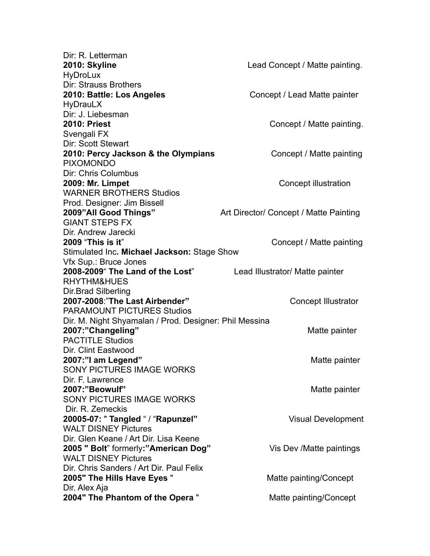| Dir: R. Letterman                                      |                                        |
|--------------------------------------------------------|----------------------------------------|
| 2010: Skyline                                          | Lead Concept / Matte painting.         |
| <b>HyDroLux</b>                                        |                                        |
| <b>Dir: Strauss Brothers</b>                           |                                        |
| 2010: Battle: Los Angeles                              | Concept / Lead Matte painter           |
| <b>HyDrauLX</b>                                        |                                        |
| Dir: J. Liebesman                                      |                                        |
| <b>2010: Priest</b>                                    | Concept / Matte painting.              |
| Svengali FX                                            |                                        |
| <b>Dir: Scott Stewart</b>                              |                                        |
| 2010: Percy Jackson & the Olympians                    | Concept / Matte painting               |
| <b>PIXOMONDO</b>                                       |                                        |
| Dir: Chris Columbus                                    |                                        |
| 2009: Mr. Limpet                                       | Concept illustration                   |
| <b>WARNER BROTHERS Studios</b>                         |                                        |
| Prod. Designer: Jim Bissell                            |                                        |
| 2009"All Good Things"                                  | Art Director/ Concept / Matte Painting |
| <b>GIANT STEPS FX</b>                                  |                                        |
| Dir. Andrew Jarecki                                    |                                        |
| <b>2009 "This is it"</b>                               | Concept / Matte painting               |
| Stimulated Inc. Michael Jackson: Stage Show            |                                        |
| Vfx Sup.: Bruce Jones                                  |                                        |
| 2008-2009" The Land of the Lost"                       | Lead Illustrator/ Matte painter        |
| RHYTHM&HUES                                            |                                        |
| Dir.Brad Silberling                                    |                                        |
| 2007-2008: "The Last Airbender"                        | <b>Concept Illustrator</b>             |
| <b>PARAMOUNT PICTURES Studios</b>                      |                                        |
| Dir. M. Night Shyamalan / Prod. Designer: Phil Messina |                                        |
| 2007:"Changeling"                                      | Matte painter                          |
| <b>PACTITLE Studios</b>                                |                                        |
| Dir. Clint Eastwood                                    |                                        |
| 2007:"I am Legend"                                     | Matte painter                          |
| <b>SONY PICTURES IMAGE WORKS</b>                       |                                        |
| Dir. F. Lawrence                                       |                                        |
| 2007:"Beowulf"                                         | Matte painter                          |
| SONY PICTURES IMAGE WORKS                              |                                        |
| Dir. R. Zemeckis                                       |                                        |
| 20005-07: " Tangled " / "Rapunzel"                     | <b>Visual Development</b>              |
| <b>WALT DISNEY Pictures</b>                            |                                        |
| Dir. Glen Keane / Art Dir. Lisa Keene                  |                                        |
| 2005 "Bolt" formerly:"American Dog"                    | Vis Dev /Matte paintings               |
| <b>WALT DISNEY Pictures</b>                            |                                        |
| Dir. Chris Sanders / Art Dir. Paul Felix               |                                        |
| 2005" The Hills Have Eyes "                            | Matte painting/Concept                 |
| Dir. Alex Aja                                          |                                        |
| 2004" The Phantom of the Opera"                        | Matte painting/Concept                 |
|                                                        |                                        |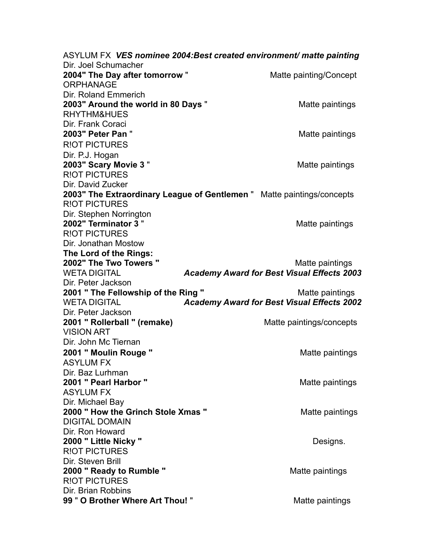ASYLUM FX *VES nominee 2004:Best created environment/ matte painting* Dir. Joel Schumacher **2004"** The Day after tomorrow " Matte painting/Concept **ORPHANAGE** Dir. Roland Emmerich **2003"** Around the world in 80 Days " RHYTHM&HUES Dir. Frank Coraci **2003" Peter Pan** " Matte paintings R!OT PICTURES Dir. P.J. Hogan **2003" Scary Movie 3 "** Matte paintings R!OT PICTURES Dir. David Zucker **2003" The Extraordinary League of Gentlemen** " Matte paintings/concepts R!OT PICTURES Dir. Stephen Norrington **2002" Terminator 3 "** Matte paintings R!OT PICTURES Dir. Jonathan Mostow **The Lord of the Rings: 2002" The Two Towers "** The Two Towers **"** The Two Towers **"** The Two Towers **"** The Two Towers **"** The Two Towers  $\frac{1}{2}$  The Two Towers  $\frac{1}{2}$  The Two Towers **"** The Two Towers  $\frac{1}{2}$  The Two Towers **"** The Two WETA DIGITAL *Academy Award for Best Visual Effects 2003*  Dir. Peter Jackson **2001 " The Fellowship of the Ring "** Matte paintings WETA DIGITAL *Academy Award for Best Visual Effects 2002* Dir. Peter Jackson **2001 " Rollerball " (remake)** Matte paintings/concepts VISION ART Dir. John Mc Tiernan **2001 " Moulin Rouge "** Matte paintings ASYLUM FX Dir. Baz Lurhman **2001 " Pearl Harbor "** Matte paintings ASYLUM FX Dir. Michael Bay **2000 " How the Grinch Stole Xmas "** Matte paintings DIGITAL DOMAIN Dir. Ron Howard **2000 " Little Nicky "** Designs. R!OT PICTURES Dir. Steven Brill **2000 " Ready to Rumble "** Matte paintings R!OT PICTURES Dir. Brian Robbins **99 " O Brother Where Art Thou! "** Matte paintings